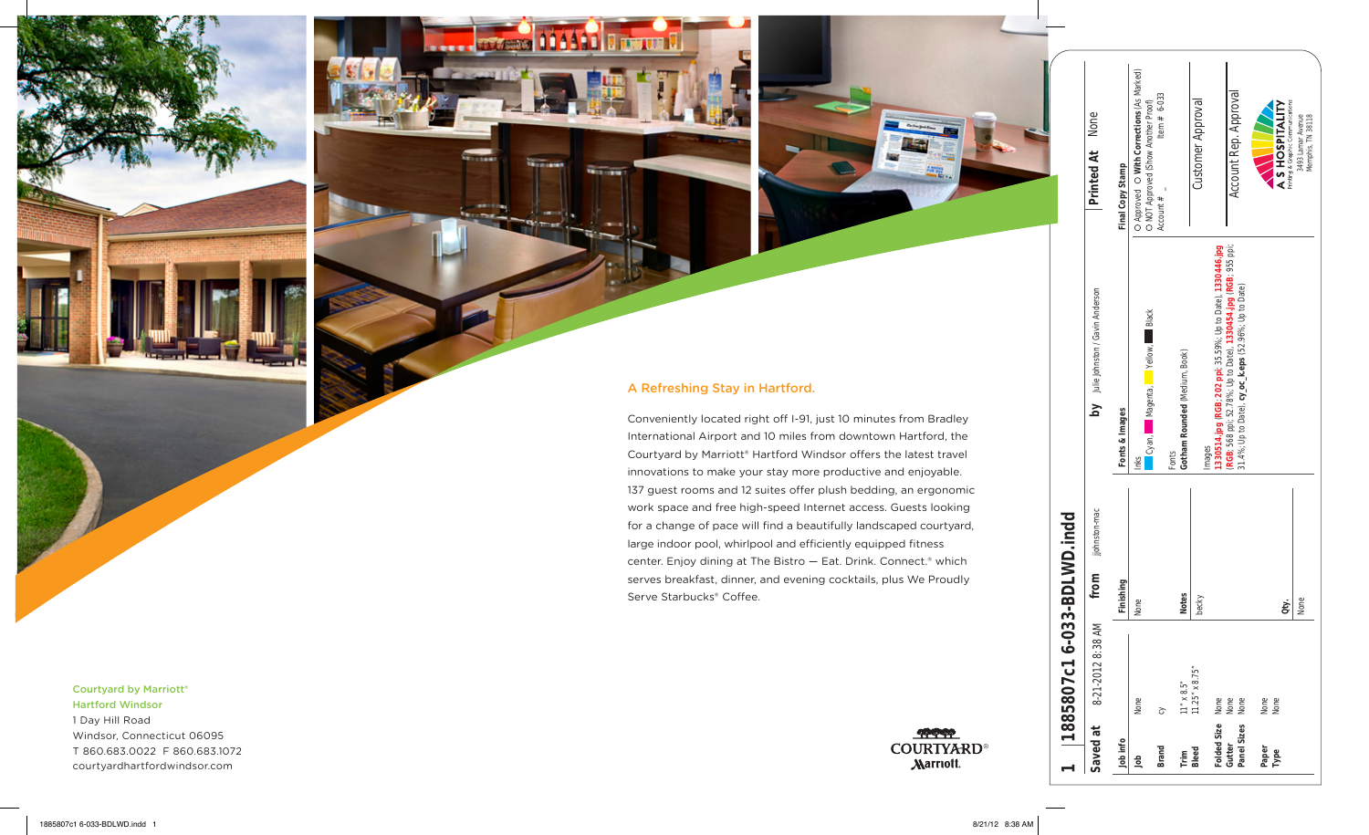

FT. **MARKET DISTURBS** 

# A Refreshing Stay in Hartford.

Conveniently located right off I-91, just 10 minutes from Bradley International Airport and 10 miles from downtown Hartford, the Courtyard by Marriott® Hartford Windsor offers the latest travel innovations to make your stay more productive and enjoyable. 137 guest rooms and 12 suites offer plush bedding, an ergonomic work space and free high-speed Internet access. Guests looking for a change of pace will find a beautifully landscaped courtyard, large indoor pool, whirlpool and efficiently equipped fitness center. Enjoy dining at The Bistro — Eat. Drink. Connect.® which serves breakfast, dinner, and evening cocktails, plus We Proudly Serve Starbucks® Coffee.

Courtyard by Marriott® Hartford Windsor 1 Day Hill Road Windsor, Connecticut 06095 T 860.683.0022 F 860.683.1072 courtyardhartfordwindsor.com

**COURTYARD® Marriott**